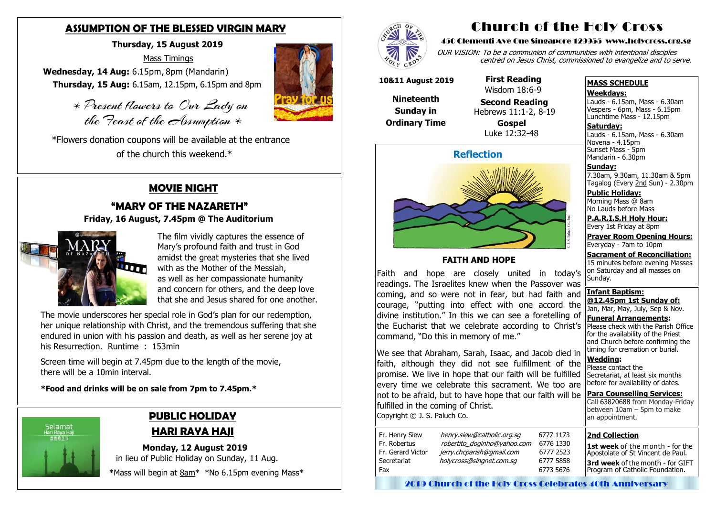## **ASSUMPTION OF THE BLESSED VIRGIN MARY**

### **Thursday, 15 August 2019**

Mass Timings

 \* Present flowers to Our Lady on the Feast of the Assumption  $*$ 

**Wednesday, 14 Aug:** 6.15pm, 8pm (Mandarin)  **Thursday, 15 Aug:** 6.15am, 12.15pm, 6.15pm and 8pm

 \*Flowers donation coupons will be available at the entrance of the church this weekend.\*

## **PUBLIC HOLIDAY HARI RAYA HAJI**

 **Monday, 12 August 2019** in lieu of Public Holiday on Sunday, 11 Aug.

\*Mass will begin at 8am<sup>\*</sup> \*No 6.15pm evening Mass\*



## **MOVIE NIGHT**

# **"MARY OF THE NAZARETH"**





The film vividly captures the essence of Mary's profound faith and trust in God amidst the great mysteries that she lived with as the Mother of the Messiah, as well as her compassionate humanity and concern for others, and the deep love that she and Jesus shared for one another. **Saturday:** Lauds - 6.15am, Mass - 6.30am Novena - 4.15pm Sunset Mass - 5pm Mandarin - 6.30pm

The movie underscores her special role in God's plan for our redemption, her unique relationship with Christ, and the tremendous suffering that she endured in union with his passion and death, as well as her serene joy at his Resurrection. Runtime : 153min

Screen time will begin at 7.45pm due to the length of the movie, there will be a 10min interval.

**\*Food and drinks will be on sale from 7pm to 7.45pm.\***



# Church of the Holy Cross

#### 450 Clementi Ave One Singapore 129955 www.holycross.org.sg

OUR VISION: To be a communion of communities with intentional disciples centred on Jesus Christ, commissioned to evangelize and to serve.

### **MASS SCHEDULE**

**Weekdays:**

Lauds - 6.15am, Mass - 6.30am Vespers - 6pm, Mass - 6.15pm Lunchtime Mass - 12.15pm

**Sunday:** 7.30am, 9.30am, 11.30am & 5pm Tagalog (Every 2nd Sun) - 2.30pm

**Public Holiday:**  Morning Mass @ 8am No Lauds before Mass

**P.A.R.I.S.H Holy Hour:** Every 1st Friday at 8pm

**Prayer Room Opening Hours:** Everyday - 7am to 10pm

**Sacrament of Reconciliation:** 15 minutes before evening Masses on Saturday and all masses on Sunday.

**Infant Baptism: @12.45pm 1st Sunday of:** Jan, Mar, May, July, Sep & Nov. **Funeral Arrangements:** 

Please check with the Parish Office for the availability of the Priest and Church before confirming the timing for cremation or burial.

**Wedding:**  Please contact the Secretariat, at least six months before for availability of dates.

**Para Counselling Services:** Call [63820688](tel:+6563820688) from Monday-Friday between  $10$ am – 5pm to make an appointment.



### **FAITH AND HOPE**

Faith and hope are closely united in today's readings. The Israelites knew when the Passover was coming, and so were not in fear, but had faith and courage, "putting into effect with one accord the divine institution." In this we can see a foretelling of the Eucharist that we celebrate according to Christ's command, "Do this in memory of me."

We see that Abraham, Sarah, Isaac, and Jacob died in faith, although they did not see fulfillment of the promise. We live in hope that our faith will be fulfilled every time we celebrate this sacrament. We too are not to be afraid, but to have hope that our faith will be fulfilled in the coming of Christ. Copyright © J. S. Paluch Co.

| Fr. Henry Siew<br>Fr. Robertus<br>Fr. Gerard Victor<br>Secretariat | henry.siew@catholic.org.sg<br>robertito_doginho@yahoo.com<br>jerry.chcparish@gmail.com<br>holycross@singnet.com.sq |  |
|--------------------------------------------------------------------|--------------------------------------------------------------------------------------------------------------------|--|
| Fax                                                                |                                                                                                                    |  |

**10&11 August 2019**

**Nineteenth Sunday in Ordinary Time**

#### **First Reading** Wisdom 18:6-9

 **Second Reading** Hebrews 11:1-2, 8-19

 **Gospel** Luke 12:32-48

**2nd Collection**

**1st week** of the month - for the Apostolate of St Vincent de Paul. **3rd week** of the month - for GIFT Program of Catholic Foundation.

2019 Church of the Holy Cross Celebrates 40th Anniversary